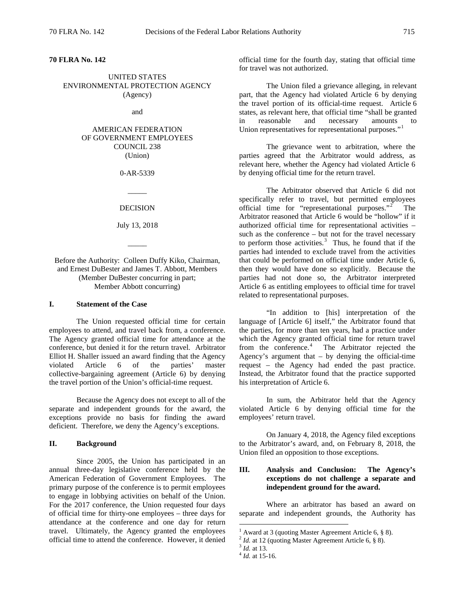**70 FLRA No. 142** 

# UNITED STATES ENVIRONMENTAL PROTECTION AGENCY (Agency)

and

# AMERICAN FEDERATION OF GOVERNMENT EMPLOYEES COUNCIL 238 (Union)

### 0-AR-5339

DECISION

 $\overline{\phantom{a}}$ 

July 13, 2018

 $\overline{\phantom{a}}$ 

Before the Authority: Colleen Duffy Kiko, Chairman, and Ernest DuBester and James T. Abbott, Members (Member DuBester concurring in part; Member Abbott concurring)

## **I. Statement of the Case**

The Union requested official time for certain employees to attend, and travel back from, a conference. The Agency granted official time for attendance at the conference, but denied it for the return travel. Arbitrator Elliot H. Shaller issued an award finding that the Agency violated Article 6 of the parties' master collective-bargaining agreement (Article 6) by denying the travel portion of the Union's official-time request.

Because the Agency does not except to all of the separate and independent grounds for the award, the exceptions provide no basis for finding the award deficient. Therefore, we deny the Agency's exceptions.

## **II. Background**

<span id="page-0-3"></span><span id="page-0-2"></span><span id="page-0-1"></span><span id="page-0-0"></span>Since 2005, the Union has participated in an annual three-day legislative conference held by the American Federation of Government Employees. The primary purpose of the conference is to permit employees to engage in lobbying activities on behalf of the Union. For the 2017 conference, the Union requested four days of official time for thirty-one employees – three days for attendance at the conference and one day for return travel. Ultimately, the Agency granted the employees official time to attend the conference. However, it denied

official time for the fourth day, stating that official time for travel was not authorized.

The Union filed a grievance alleging, in relevant part, that the Agency had violated Article 6 by denying the travel portion of its official-time request. Article 6 states, as relevant here, that official time "shall be granted in reasonable and necessary amounts to Union representatives for representational purposes."<sup>[1](#page-0-0)</sup>

The grievance went to arbitration, where the parties agreed that the Arbitrator would address, as relevant here, whether the Agency had violated Article 6 by denying official time for the return travel.

The Arbitrator observed that Article 6 did not specifically refer to travel, but permitted employees official time for "representational purposes."<sup>[2](#page-0-1)</sup> The Arbitrator reasoned that Article 6 would be "hollow" if it authorized official time for representational activities – such as the conference – but not for the travel necessary to perform those activities. $3$  Thus, he found that if the parties had intended to exclude travel from the activities that could be performed on official time under Article 6, then they would have done so explicitly. Because the parties had not done so, the Arbitrator interpreted Article 6 as entitling employees to official time for travel related to representational purposes.

"In addition to [his] interpretation of the language of [Article 6] itself," the Arbitrator found that the parties, for more than ten years, had a practice under which the Agency granted official time for return travel from the conference.<sup>[4](#page-0-3)</sup> The Arbitrator rejected the Agency's argument that  $-$  by denying the official-time request – the Agency had ended the past practice. Instead, the Arbitrator found that the practice supported his interpretation of Article 6.

In sum, the Arbitrator held that the Agency violated Article 6 by denying official time for the employees' return travel.

On January 4, 2018, the Agency filed exceptions to the Arbitrator's award, and, on February 8, 2018, the Union filed an opposition to those exceptions.

# **III. Analysis and Conclusion: The Agency's exceptions do not challenge a separate and independent ground for the award.**

Where an arbitrator has based an award on separate and independent grounds, the Authority has

<sup>1</sup> Award at 3 (quoting Master Agreement Article 6, § 8). <sup>2</sup> *Id.* at 12 (quoting Master Agreement Article 6, § 8). <sup>3</sup> *Id.* at 13. <sup>4</sup> *Id.* at 15-16.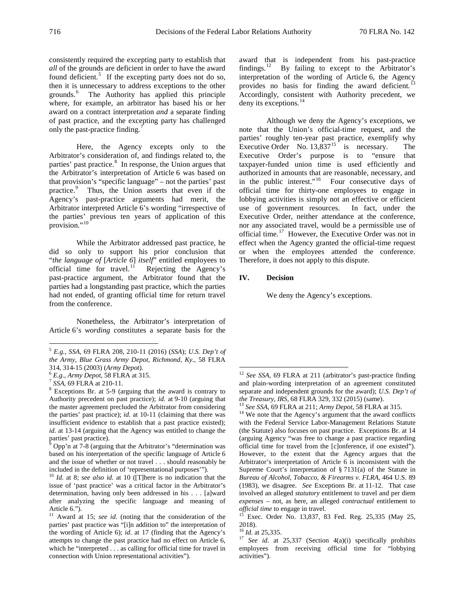consistently required the excepting party to establish that *all* of the grounds are deficient in order to have the award found deficient.<sup>[5](#page-1-0)</sup> If the excepting party does not do so, then it is unnecessary to address exceptions to the other grounds.[6](#page-1-1) The Authority has applied this principle where, for example, an arbitrator has based his or her award on a contract interpretation *and* a separate finding of past practice, and the excepting party has challenged

only the past-practice finding.<sup>[7](#page-1-2)</sup>

Here, the Agency excepts only to the Arbitrator's consideration of, and findings related to, the parties' past practice.<sup>[8](#page-1-3)</sup> In response, the Union argues that the Arbitrator's interpretation of Article 6 was based on that provision's "specific language" – not the parties' past practice.<sup>[9](#page-1-4)</sup> Thus, the Union asserts that even if the Agency's past-practice arguments had merit, the Arbitrator interpreted Article 6's wording "irrespective of the parties' previous ten years of application of this provision."<sup>10</sup>

While the Arbitrator addressed past practice, he did so only to support his prior conclusion that "*the language of* [*Article 6*] *itself*" entitled employees to official time for travel. $\frac{11}{1}$  Rejecting the Agency's past-practice argument, the Arbitrator found that the parties had a longstanding past practice, which the parties had not ended, of granting official time for return travel from the conference.

Nonetheless, the Arbitrator's interpretation of Article 6's *wording* constitutes a separate basis for the

award that is independent from his past-practice findings.<sup>[12](#page-1-1)</sup> By failing to except to the Arbitrator's interpretation of the wording of Article 6, the Agency provides no basis for finding the award deficient.<sup>[13](#page-1-7)</sup> Accordingly, consistent with Authority precedent, we deny its exceptions. $^{14}$  $^{14}$  $^{14}$ 

Although we deny the Agency's exceptions, we note that the Union's official-time request, and the parties' roughly ten-year past practice, exemplify why Executive Order No.  $13,837^{15}$  $13,837^{15}$  $13,837^{15}$  is necessary. The Executive Order's purpose is to "ensure that taxpayer-funded union time is used efficiently and authorized in amounts that are reasonable, necessary, and in the public interest."<sup>16</sup> Four consecutive days of official time for thirty-one employees to engage in lobbying activities is simply not an effective or efficient use of government resources. In fact, under the Executive Order, neither attendance at the conference, nor any associated travel, would be a permissible use of official time.[17](#page-1-10) However, the Executive Order was not in effect when the Agency granted the official-time request or when the employees attended the conference. Therefore, it does not apply to this dispute.

### **IV. Decision**

We deny the Agency's exceptions.

<span id="page-1-0"></span> <sup>5</sup> *E.g.*, *SSA*, 69 FLRA 208, 210-11 (2016) (*SSA*); *U.S. Dep't of the Army, Blue Grass Army Depot, Richmond, Ky.*, 58 FLRA

<span id="page-1-7"></span><span id="page-1-3"></span><span id="page-1-2"></span>

<span id="page-1-1"></span> $^6$  *E.g.*, *Army Depot*, 58 FLRA at 315.<br>  $^7$  *SSA*, 69 FLRA at 210-11.<br>  $^8$  Exceptions Br. at 5-9 (arguing that the award is contrary to Authority precedent on past practice); *id.* at 9-10 (arguing that the master agreement precluded the Arbitrator from considering the parties' past practice); *id.* at 10-11 (claiming that there was insufficient evidence to establish that a past practice existed); *id.* at 13-14 (arguing that the Agency was entitled to change the parties' past practice).

<span id="page-1-8"></span><span id="page-1-4"></span> $9$  Opp'n at 7-8 (arguing that the Arbitrator's "determination was based on his interpretation of the specific language of Article 6 and the issue of whether or not travel . . . should reasonably be included in the definition of 'representational purposes'"). <sup>10</sup> *Id.* at 8; *see also id.* at 10 ([T]here is no indication that the

<span id="page-1-5"></span>issue of 'past practice' was a critical factor in the Arbitrator's determination, having only been addressed in his . . . [a]ward after analyzing the specific language and meaning of Article 6.").

<span id="page-1-10"></span><span id="page-1-9"></span><span id="page-1-6"></span><sup>&</sup>lt;sup>11</sup> Award at 15; see id. (noting that the consideration of the parties' past practice was "[i]n addition to" the interpretation of the wording of Article 6); *id.* at 17 (finding that the Agency's attempts to change the past practice had no effect on Article 6, which he "interpreted . . . as calling for official time for travel in connection with Union representational activities").

<sup>&</sup>lt;sup>12</sup> See SSA, 69 FLRA at 211 (arbitrator's past-practice finding and plain-wording interpretation of an agreement constituted separate and independent grounds for the award); *U.S. Dep't of the Treasury*, *IRS*, 68 FLRA 329, 332 (2015) (same).

<sup>&</sup>lt;sup>13</sup> See SSA, 69 FLRA at 211; *Army Depot*, 58 FLRA at 315. <sup>14</sup> We note that the Agency's argument that the award conflicts with the Federal Service Labor-Management Relations Statute (the Statute) also focuses on past practice. Exceptions Br. at 14 (arguing Agency "was free to change a past practice regarding official time for travel from the [c]onference, if one existed"). However, to the extent that the Agency argues that the Arbitrator's interpretation of Article 6 is inconsistent with the Supreme Court's interpretation of § 7131(a) of the Statute in *Bureau of Alcohol, Tobacco, & Firearms v. FLRA*, 464 U.S. 89 (1983), we disagree. *See* Exceptions Br. at 11-12. That case involved an alleged *statutory* entitlement to travel and per diem *expenses* – not, as here, an alleged *contractual* entitlement to

*official time to engage in travel.* 15 Exec. Order No. 13,837, 83 Fed. Reg. 25,335 (May 25, 2018).<br> $^{16}$  *Id.* at 25,335.

<sup>&</sup>lt;sup>17</sup> *See id.* at 25,337 (Section 4(a)(i) specifically prohibits employees from receiving official time for "lobbying activities").